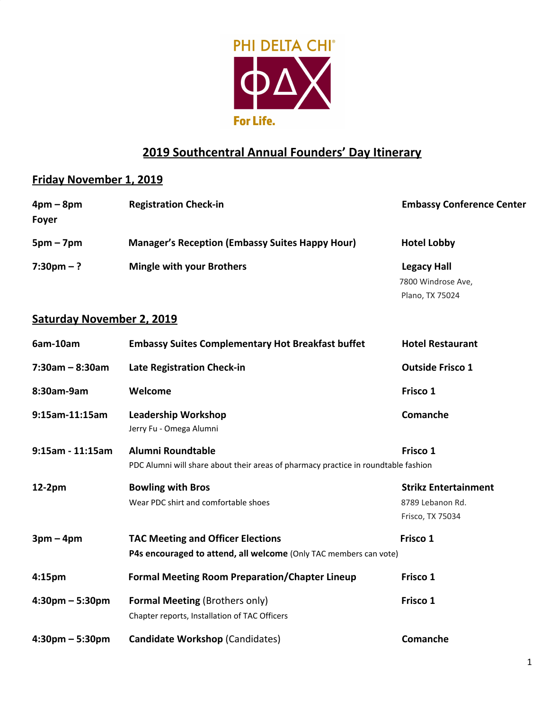

## **2019 Southcentral Annual Founders' Day Itinerary**

## **Friday November 1, 2019**

| $4pm-8pm$            | <b>Registration Check-in</b>                           | <b>Embassy Conference Center</b> |
|----------------------|--------------------------------------------------------|----------------------------------|
| <b>Foyer</b>         |                                                        |                                  |
| $5pm - 7pm$          | <b>Manager's Reception (Embassy Suites Happy Hour)</b> | <b>Hotel Lobby</b>               |
| $7:30 \text{pm} - ?$ | <b>Mingle with your Brothers</b>                       | <b>Legacy Hall</b>               |
|                      |                                                        | 7800 Windrose Ave,               |
|                      |                                                        | Plano, TX 75024                  |

## **Saturday November 2, 2019**

| 6am-10am                          | <b>Embassy Suites Complementary Hot Breakfast buffet</b>                                                | <b>Hotel Restaurant</b>     |
|-----------------------------------|---------------------------------------------------------------------------------------------------------|-----------------------------|
| $7:30am - 8:30am$                 | Late Registration Check-in                                                                              | <b>Outside Frisco 1</b>     |
| 8:30am-9am                        | Welcome                                                                                                 | Frisco 1                    |
| 9:15am-11:15am                    | <b>Leadership Workshop</b><br>Jerry Fu - Omega Alumni                                                   | Comanche                    |
| 9:15am - 11:15am                  | Alumni Roundtable<br>PDC Alumni will share about their areas of pharmacy practice in roundtable fashion | Frisco 1                    |
| $12-2pm$                          | <b>Bowling with Bros</b>                                                                                | <b>Strikz Entertainment</b> |
|                                   | Wear PDC shirt and comfortable shoes                                                                    | 8789 Lebanon Rd.            |
|                                   |                                                                                                         | Frisco, TX 75034            |
| $3pm-4pm$                         | <b>TAC Meeting and Officer Elections</b>                                                                | Frisco 1                    |
|                                   | P4s encouraged to attend, all welcome (Only TAC members can vote)                                       |                             |
| 4:15 <sub>pm</sub>                | <b>Formal Meeting Room Preparation/Chapter Lineup</b>                                                   | Frisco 1                    |
| $4:30$ pm – 5:30pm                | <b>Formal Meeting (Brothers only)</b>                                                                   | Frisco 1                    |
|                                   | Chapter reports, Installation of TAC Officers                                                           |                             |
| $4:30 \text{pm} - 5:30 \text{pm}$ | <b>Candidate Workshop (Candidates)</b>                                                                  | Comanche                    |